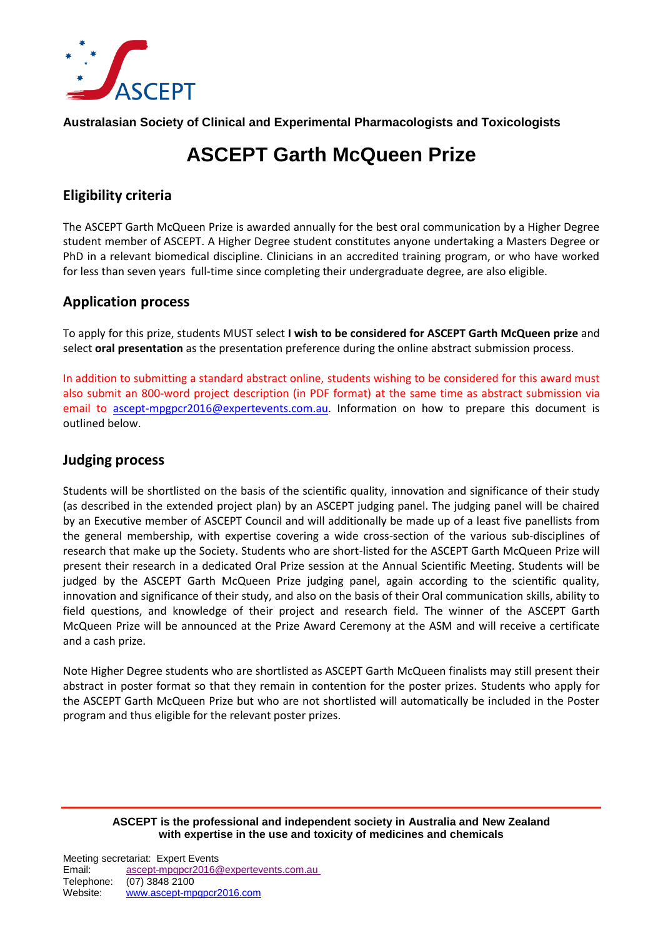

**Australasian Society of Clinical and Experimental Pharmacologists and Toxicologists**

# **ASCEPT Garth McQueen Prize**

## **Eligibility criteria**

The ASCEPT Garth McQueen Prize is awarded annually for the best oral communication by a Higher Degree student member of ASCEPT. A Higher Degree student constitutes anyone undertaking a Masters Degree or PhD in a relevant biomedical discipline. Clinicians in an accredited training program, or who have worked for less than seven years full-time since completing their undergraduate degree, are also eligible.

#### **Application process**

To apply for this prize, students MUST select **I wish to be considered for ASCEPT Garth McQueen prize** and select **oral presentation** as the presentation preference during the online abstract submission process.

In addition to submitting a standard abstract online, students wishing to be considered for this award must also submit an 800-word project description (in PDF format) at the same time as abstract submission via email to [ascept-mpgpcr2016@expertevents.com.au.](mailto:ascept-mpgpcr2016@expertevents.com.au) Information on how to prepare this document is outlined below.

### **Judging process**

Students will be shortlisted on the basis of the scientific quality, innovation and significance of their study (as described in the extended project plan) by an ASCEPT judging panel. The judging panel will be chaired by an Executive member of ASCEPT Council and will additionally be made up of a least five panellists from the general membership, with expertise covering a wide cross-section of the various sub-disciplines of research that make up the Society. Students who are short-listed for the ASCEPT Garth McQueen Prize will present their research in a dedicated Oral Prize session at the Annual Scientific Meeting. Students will be judged by the ASCEPT Garth McQueen Prize judging panel, again according to the scientific quality, innovation and significance of their study, and also on the basis of their Oral communication skills, ability to field questions, and knowledge of their project and research field. The winner of the ASCEPT Garth McQueen Prize will be announced at the Prize Award Ceremony at the ASM and will receive a certificate and a cash prize.

Note Higher Degree students who are shortlisted as ASCEPT Garth McQueen finalists may still present their abstract in poster format so that they remain in contention for the poster prizes. Students who apply for the ASCEPT Garth McQueen Prize but who are not shortlisted will automatically be included in the Poster program and thus eligible for the relevant poster prizes.

**ASCEPT is the professional and independent society in Australia and New Zealand with expertise in the use and toxicity of medicines and chemicals**